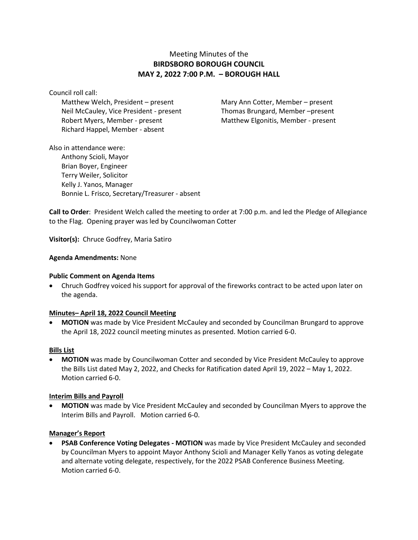# Meeting Minutes of the **BIRDSBORO BOROUGH COUNCIL MAY 2, 2022 7:00 P.M. – BOROUGH HALL**

Council roll call:

Matthew Welch, President – present Mary Ann Cotter, Member – present Neil McCauley, Vice President - present Thomas Brungard, Member –present Robert Myers, Member - present Matthew Elgonitis, Member - present Richard Happel, Member - absent

Also in attendance were: Anthony Scioli, Mayor Brian Boyer, Engineer Terry Weiler, Solicitor Kelly J. Yanos, Manager Bonnie L. Frisco, Secretary/Treasurer - absent

**Call to Order**: President Welch called the meeting to order at 7:00 p.m. and led the Pledge of Allegiance to the Flag. Opening prayer was led by Councilwoman Cotter

**Visitor(s):** Chruce Godfrey, Maria Satiro

# **Agenda Amendments:** None

### **Public Comment on Agenda Items**

• Chruch Godfrey voiced his support for approval of the fireworks contract to be acted upon later on the agenda.

### **Minutes– April 18, 2022 Council Meeting**

• **MOTION** was made by Vice President McCauley and seconded by Councilman Brungard to approve the April 18, 2022 council meeting minutes as presented. Motion carried 6-0.

### **Bills List**

• **MOTION** was made by Councilwoman Cotter and seconded by Vice President McCauley to approve the Bills List dated May 2, 2022, and Checks for Ratification dated April 19, 2022 – May 1, 2022. Motion carried 6-0.

### **Interim Bills and Payroll**

• **MOTION** was made by Vice President McCauley and seconded by Councilman Myers to approve the Interim Bills and Payroll. Motion carried 6-0.

# **Manager's Report**

• **PSAB Conference Voting Delegates - MOTION** was made by Vice President McCauley and seconded by Councilman Myers to appoint Mayor Anthony Scioli and Manager Kelly Yanos as voting delegate and alternate voting delegate, respectively, for the 2022 PSAB Conference Business Meeting. Motion carried 6-0.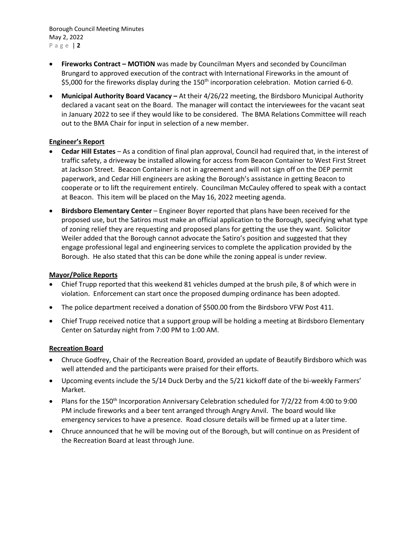Borough Council Meeting Minutes May 2, 2022 P a g e | **2**

- **Fireworks Contract – MOTION** was made by Councilman Myers and seconded by Councilman Brungard to approved execution of the contract with International Fireworks in the amount of \$5,000 for the fireworks display during the 150<sup>th</sup> incorporation celebration. Motion carried 6-0.
- **Municipal Authority Board Vacancy –** At their 4/26/22 meeting, the Birdsboro Municipal Authority declared a vacant seat on the Board. The manager will contact the interviewees for the vacant seat in January 2022 to see if they would like to be considered. The BMA Relations Committee will reach out to the BMA Chair for input in selection of a new member.

# **Engineer's Report**

- **Cedar Hill Estates** As a condition of final plan approval, Council had required that, in the interest of traffic safety, a driveway be installed allowing for access from Beacon Container to West First Street at Jackson Street. Beacon Container is not in agreement and will not sign off on the DEP permit paperwork, and Cedar Hill engineers are asking the Borough's assistance in getting Beacon to cooperate or to lift the requirement entirely. Councilman McCauley offered to speak with a contact at Beacon. This item will be placed on the May 16, 2022 meeting agenda.
- **Birdsboro Elementary Center**  Engineer Boyer reported that plans have been received for the proposed use, but the Satiros must make an official application to the Borough, specifying what type of zoning relief they are requesting and proposed plans for getting the use they want. Solicitor Weiler added that the Borough cannot advocate the Satiro's position and suggested that they engage professional legal and engineering services to complete the application provided by the Borough. He also stated that this can be done while the zoning appeal is under review.

# **Mayor/Police Reports**

- Chief Trupp reported that this weekend 81 vehicles dumped at the brush pile, 8 of which were in violation. Enforcement can start once the proposed dumping ordinance has been adopted.
- The police department received a donation of \$500.00 from the Birdsboro VFW Post 411.
- Chief Trupp received notice that a support group will be holding a meeting at Birdsboro Elementary Center on Saturday night from 7:00 PM to 1:00 AM.

# **Recreation Board**

- Chruce Godfrey, Chair of the Recreation Board, provided an update of Beautify Birdsboro which was well attended and the participants were praised for their efforts.
- Upcoming events include the 5/14 Duck Derby and the 5/21 kickoff date of the bi-weekly Farmers' Market.
- Plans for the 150<sup>th</sup> Incorporation Anniversary Celebration scheduled for 7/2/22 from 4:00 to 9:00 PM include fireworks and a beer tent arranged through Angry Anvil. The board would like emergency services to have a presence. Road closure details will be firmed up at a later time.
- Chruce announced that he will be moving out of the Borough, but will continue on as President of the Recreation Board at least through June.